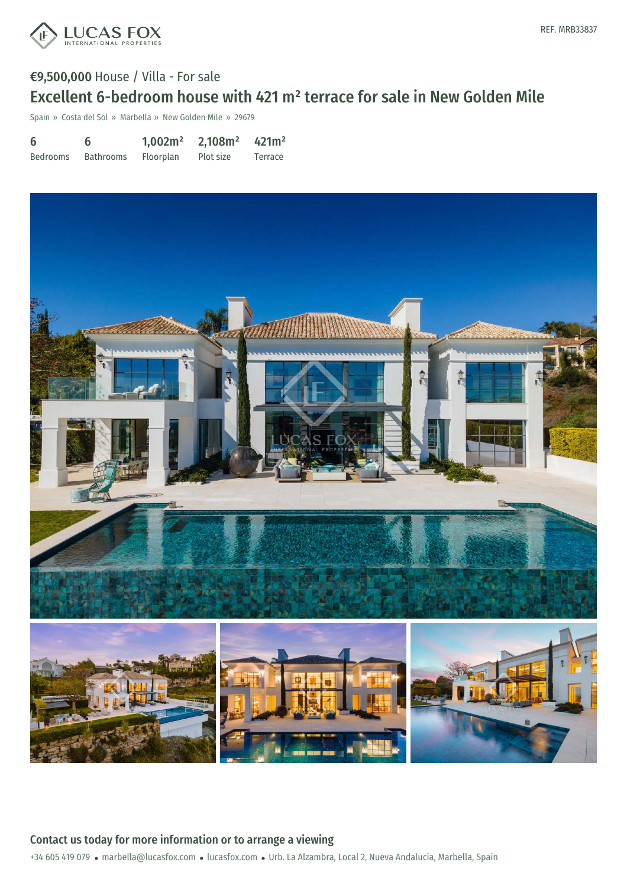

## €9,500,000 House / Villa - For sale Excellent 6-bedroom house with 421 m² terrace for sale in New Golden Mile

Spain » Costa del Sol » Marbella » New Golden Mile » 29679

| 6        | 6         | 1,002m <sup>2</sup> | 2,108m <sup>2</sup> | 421m <sup>2</sup> |
|----------|-----------|---------------------|---------------------|-------------------|
| Bedrooms | Bathrooms | <b>Floorplan</b>    | Plot size           | Terrace           |



+34 605 419 079 · marbella@lucasfox.com · lucasfox.com · Urb. La Alzambra, Local 2, Nueva Andalucia, Marbella, Spain Contact us today for more information or to arrange a viewing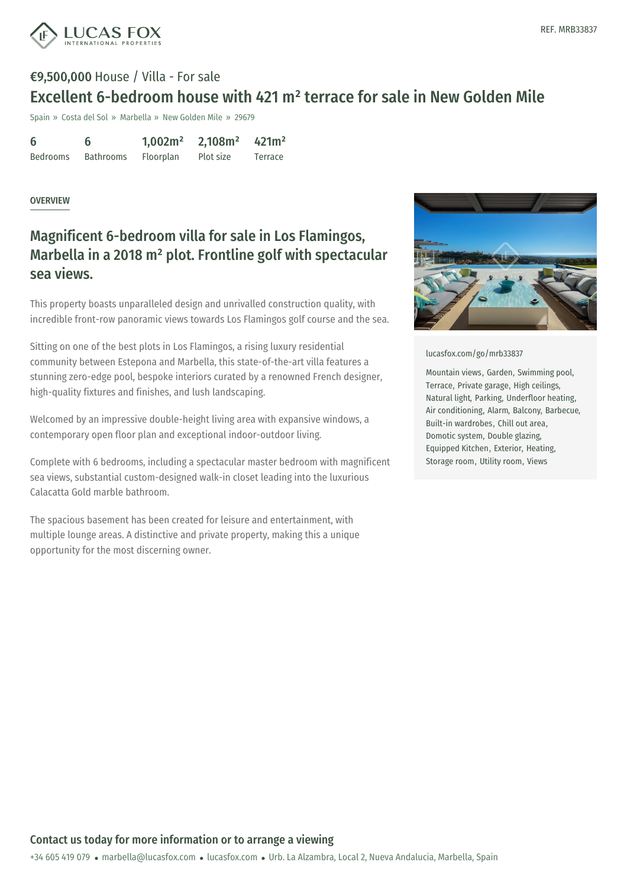

# €9,500,000 House / Villa - For sale Excellent 6-bedroom house with 421 m² terrace for sale in New Golden Mile

Spain » Costa del Sol » Marbella » New Golden Mile » 29679

| 6               |                  | 1,002m <sup>2</sup> | 2,108m <sup>2</sup> | 421m <sup>2</sup> |
|-----------------|------------------|---------------------|---------------------|-------------------|
| <b>Bedrooms</b> | <b>Bathrooms</b> | <b>Floorplan</b>    | Plot size           | Terrace           |

#### OVERVIEW

#### Magnificent 6-bedroom villa for sale in Los Flamingos, Marbella in a 2018 m² plot. Frontline golf with spectacular sea views.

This property boasts unparalleled design and unrivalled construction quality, with incredible front-row panoramic views towards Los Flamingos golf course and the sea.

Sitting on one of the best plots in Los Flamingos, a rising luxury residential community between Estepona and Marbella, this state-of-the-art villa features a stunning zero-edge pool, bespoke interiors curated by a renowned French designer, high-quality fixtures and finishes, and lush landscaping.

Welcomed by an impressive double-height living area with expansive windows, a contemporary open floor plan and exceptional indoor-outdoor living.

Complete with 6 bedrooms, including a spectacular master bedroom with magnificent sea views, substantial custom-designed walk-in closet leading into the luxurious Calacatta Gold marble bathroom.

The spacious basement has been created for leisure and entertainment, with multiple lounge areas. A distinctive and private property, making this a unique opportunity for the most discerning owner.



[lucasfox.com/go/mrb33837](https://www.lucasfox.com/go/mrb33837)

Mountain views, Garden, Swimming pool, Terrace, Private garage, High ceilings, Natural light, Parking, Underfloor heating, Air conditioning, Alarm, Balcony, Barbecue, Built-in wardrobes, Chill out area, Domotic system, Double glazing, Equipped Kitchen, Exterior, Heating, Storage room, Utility room, Views

+34 605 419 079 · marbella@lucasfox.com · lucasfox.com · Urb. La Alzambra, Local 2, Nueva Andalucia, Marbella, Spain